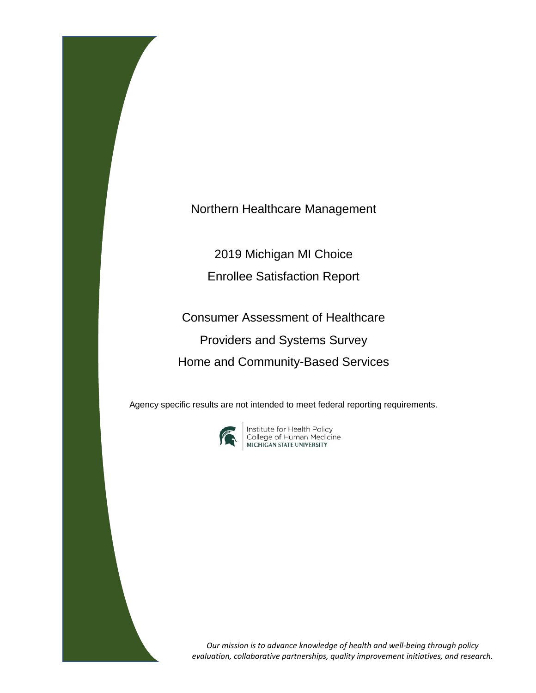Northern Healthcare Management

2019 Michigan MI Choice

Enrollee Satisfaction Report

Consumer Assessment of Healthcare Providers and Systems Survey Home and Community-Based Services

Agency specific results are not intended to meet federal reporting requirements.



**Institute for Health Policy<br>College of Human Medicine<br>MICHIGAN STATE UNIVERSITY** 

*Our mission is to advance knowledge of health and well-being through policy evaluation, collaborative partnerships, quality improvement initiatives, and research.*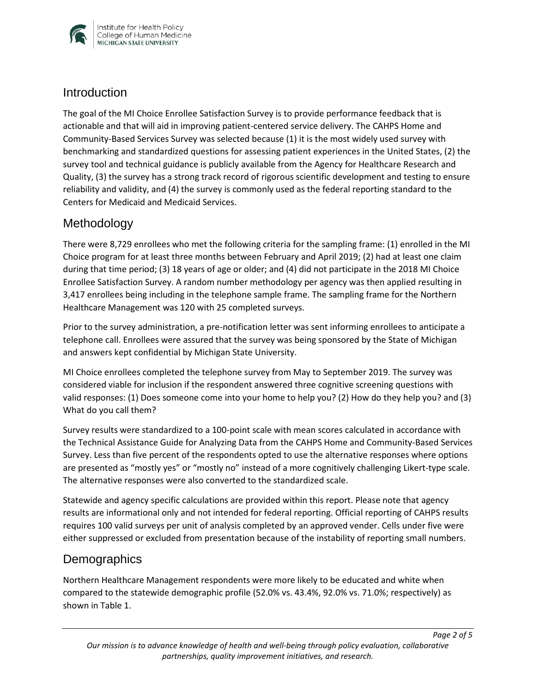

### **Introduction**

The goal of the MI Choice Enrollee Satisfaction Survey is to provide performance feedback that is actionable and that will aid in improving patient-centered service delivery. The CAHPS Home and Community-Based Services Survey was selected because (1) it is the most widely used survey with benchmarking and standardized questions for assessing patient experiences in the United States, (2) the survey tool and technical guidance is publicly available from the Agency for Healthcare Research and Quality, (3) the survey has a strong track record of rigorous scientific development and testing to ensure reliability and validity, and (4) the survey is commonly used as the federal reporting standard to the Centers for Medicaid and Medicaid Services.

## Methodology

There were 8,729 enrollees who met the following criteria for the sampling frame: (1) enrolled in the MI Choice program for at least three months between February and April 2019; (2) had at least one claim during that time period; (3) 18 years of age or older; and (4) did not participate in the 2018 MI Choice Enrollee Satisfaction Survey. A random number methodology per agency was then applied resulting in 3,417 enrollees being including in the telephone sample frame. The sampling frame for the Northern Healthcare Management was 120 with 25 completed surveys.

Prior to the survey administration, a pre-notification letter was sent informing enrollees to anticipate a telephone call. Enrollees were assured that the survey was being sponsored by the State of Michigan and answers kept confidential by Michigan State University.

MI Choice enrollees completed the telephone survey from May to September 2019. The survey was considered viable for inclusion if the respondent answered three cognitive screening questions with valid responses: (1) Does someone come into your home to help you? (2) How do they help you? and (3) What do you call them?

Survey results were standardized to a 100-point scale with mean scores calculated in accordance with the Technical Assistance Guide for Analyzing Data from the CAHPS Home and Community-Based Services Survey. Less than five percent of the respondents opted to use the alternative responses where options are presented as "mostly yes" or "mostly no" instead of a more cognitively challenging Likert-type scale. The alternative responses were also converted to the standardized scale.

Statewide and agency specific calculations are provided within this report. Please note that agency results are informational only and not intended for federal reporting. Official reporting of CAHPS results requires 100 valid surveys per unit of analysis completed by an approved vender. Cells under five were either suppressed or excluded from presentation because of the instability of reporting small numbers.

## **Demographics**

Northern Healthcare Management respondents were more likely to be educated and white when compared to the statewide demographic profile (52.0% vs. 43.4%, 92.0% vs. 71.0%; respectively) as shown in Table 1.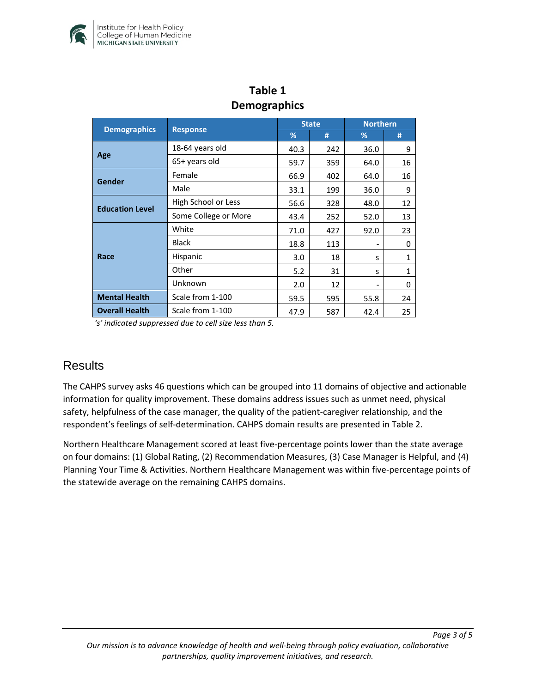

|                        |                      | <b>State</b> |     | <b>Northern</b>                                                             |              |  |  |  |
|------------------------|----------------------|--------------|-----|-----------------------------------------------------------------------------|--------------|--|--|--|
| <b>Demographics</b>    | <b>Response</b>      | %            | #   | %<br>36.0<br>64.0<br>64.0<br>36.0<br>48.0<br>52.0<br>92.0<br>S<br>S<br>55.8 | #            |  |  |  |
| Age                    | 18-64 years old      | 40.3         | 242 |                                                                             | 9            |  |  |  |
|                        | 65+ years old        | 59.7         | 359 |                                                                             | 16           |  |  |  |
| Gender                 | Female               | 66.9         | 402 |                                                                             | 16           |  |  |  |
|                        | Male                 | 33.1         | 199 |                                                                             | 9            |  |  |  |
| <b>Education Level</b> | High School or Less  | 56.6         | 328 |                                                                             | 12           |  |  |  |
|                        | Some College or More | 43.4         | 252 |                                                                             | 13           |  |  |  |
| Race                   | White                | 71.0         | 427 |                                                                             | 23           |  |  |  |
|                        | <b>Black</b>         | 18.8         | 113 |                                                                             | 0            |  |  |  |
|                        | Hispanic             | 3.0          | 18  |                                                                             | $\mathbf{1}$ |  |  |  |
|                        | Other                | 5.2          | 31  |                                                                             | $\mathbf{1}$ |  |  |  |
|                        | Unknown              | 2.0          | 12  |                                                                             | 0            |  |  |  |
| <b>Mental Health</b>   | Scale from 1-100     | 59.5         | 595 |                                                                             | 24           |  |  |  |
| <b>Overall Health</b>  | Scale from 1-100     | 47.9         | 587 | 42.4                                                                        | 25           |  |  |  |

## **Table 1 Demographics**

*'s' indicated suppressed due to cell size less than 5.* 

## **Results**

The CAHPS survey asks 46 questions which can be grouped into 11 domains of objective and actionable information for quality improvement. These domains address issues such as unmet need, physical safety, helpfulness of the case manager, the quality of the patient-caregiver relationship, and the respondent's feelings of self-determination. CAHPS domain results are presented in Table 2.

Northern Healthcare Management scored at least five-percentage points lower than the state average on four domains: (1) Global Rating, (2) Recommendation Measures, (3) Case Manager is Helpful, and (4) Planning Your Time & Activities. Northern Healthcare Management was within five-percentage points of the statewide average on the remaining CAHPS domains.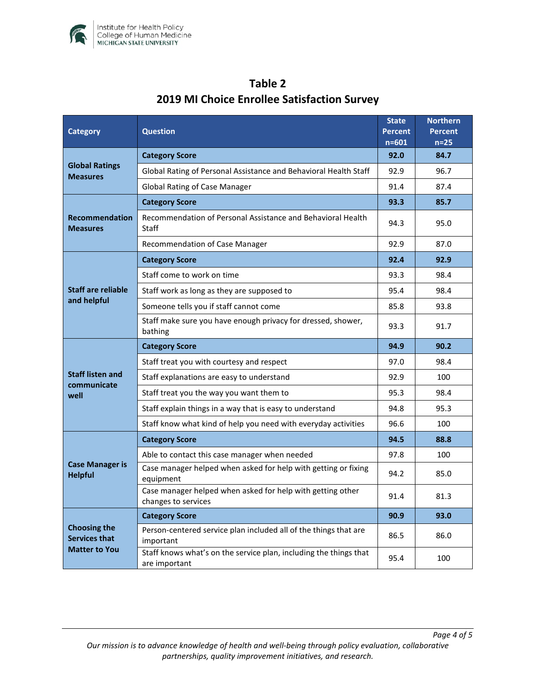

| <b>Category</b>                                                     | <b>Question</b>                                                                    |      | <b>Northern</b><br><b>Percent</b><br>$n=25$ |
|---------------------------------------------------------------------|------------------------------------------------------------------------------------|------|---------------------------------------------|
| <b>Global Ratings</b><br><b>Measures</b>                            | <b>Category Score</b>                                                              |      | 84.7                                        |
|                                                                     | Global Rating of Personal Assistance and Behavioral Health Staff                   |      | 96.7                                        |
|                                                                     | <b>Global Rating of Case Manager</b>                                               |      | 87.4                                        |
| <b>Recommendation</b><br><b>Measures</b>                            | <b>Category Score</b>                                                              |      | 85.7                                        |
|                                                                     | Recommendation of Personal Assistance and Behavioral Health<br>Staff               |      | 95.0                                        |
|                                                                     | Recommendation of Case Manager                                                     |      | 87.0                                        |
| <b>Staff are reliable</b><br>and helpful                            | <b>Category Score</b>                                                              | 92.4 | 92.9                                        |
|                                                                     | Staff come to work on time                                                         |      | 98.4                                        |
|                                                                     | Staff work as long as they are supposed to                                         |      | 98.4                                        |
|                                                                     | Someone tells you if staff cannot come                                             |      | 93.8                                        |
|                                                                     | Staff make sure you have enough privacy for dressed, shower,<br>bathing            |      | 91.7                                        |
| <b>Staff listen and</b><br>communicate<br>well                      | <b>Category Score</b>                                                              | 94.9 | 90.2                                        |
|                                                                     | Staff treat you with courtesy and respect                                          | 97.0 | 98.4                                        |
|                                                                     | Staff explanations are easy to understand                                          |      | 100                                         |
|                                                                     | Staff treat you the way you want them to                                           |      | 98.4                                        |
|                                                                     | Staff explain things in a way that is easy to understand                           |      | 95.3                                        |
|                                                                     | Staff know what kind of help you need with everyday activities                     | 96.6 | 100                                         |
| <b>Case Manager is</b><br><b>Helpful</b>                            | <b>Category Score</b>                                                              | 94.5 | 88.8                                        |
|                                                                     | Able to contact this case manager when needed                                      | 97.8 | 100                                         |
|                                                                     | Case manager helped when asked for help with getting or fixing<br>equipment        |      | 85.0                                        |
|                                                                     | Case manager helped when asked for help with getting other<br>changes to services  | 91.4 | 81.3                                        |
| <b>Choosing the</b><br><b>Services that</b><br><b>Matter to You</b> | <b>Category Score</b>                                                              | 90.9 | 93.0                                        |
|                                                                     | Person-centered service plan included all of the things that are<br>important      |      | 86.0                                        |
|                                                                     | Staff knows what's on the service plan, including the things that<br>are important | 95.4 | 100                                         |

# **Table 2 2019 MI Choice Enrollee Satisfaction Survey**